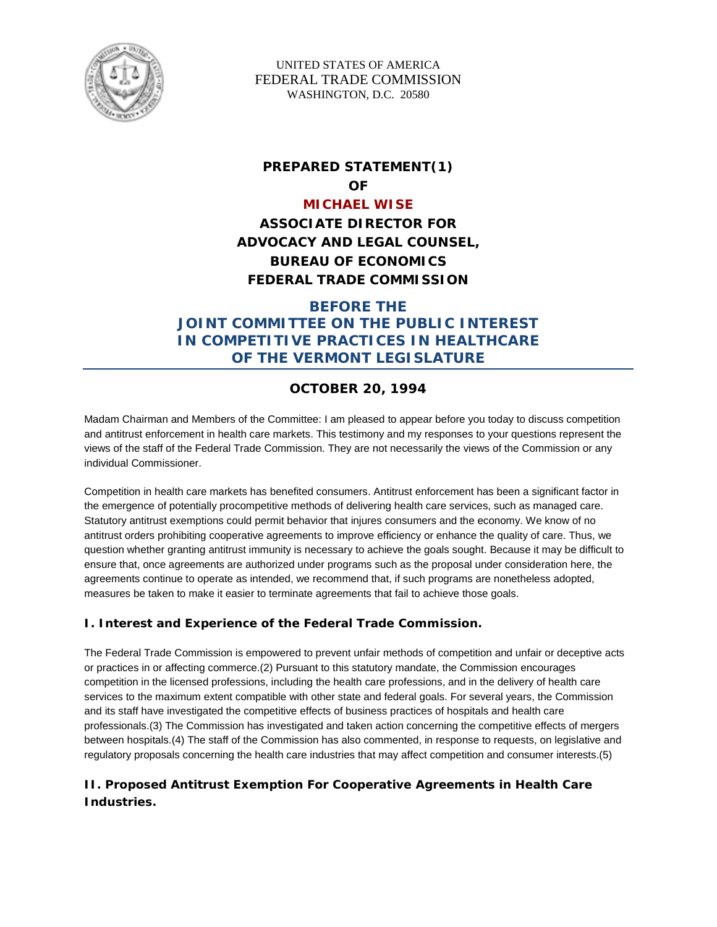

UNITED STATES OF AMERICA FEDERAL TRADE COMMISSION WASHINGTON, D.C. 20580

# **PREPARED STATEMENT(1) OF**

### **MICHAEL WISE**

**ASSOCIATE DIRECTOR FOR ADVOCACY AND LEGAL COUNSEL, BUREAU OF ECONOMICS FEDERAL TRADE COMMISSION** 

## **BEFORE THE JOINT COMMITTEE ON THE PUBLIC INTEREST IN COMPETITIVE PRACTICES IN HEALTHCARE OF THE VERMONT LEGISLATURE**

## **OCTOBER 20, 1994**

Madam Chairman and Members of the Committee: I am pleased to appear before you today to discuss competition and antitrust enforcement in health care markets. This testimony and my responses to your questions represent the views of the staff of the Federal Trade Commission. They are not necessarily the views of the Commission or any individual Commissioner.

Competition in health care markets has benefited consumers. Antitrust enforcement has been a significant factor in the emergence of potentially procompetitive methods of delivering health care services, such as managed care. Statutory antitrust exemptions could permit behavior that injures consumers and the economy. We know of no antitrust orders prohibiting cooperative agreements to improve efficiency or enhance the quality of care. Thus, we question whether granting antitrust immunity is necessary to achieve the goals sought. Because it may be difficult to ensure that, once agreements are authorized under programs such as the proposal under consideration here, the agreements continue to operate as intended, we recommend that, if such programs are nonetheless adopted, measures be taken to make it easier to terminate agreements that fail to achieve those goals.

## **I. Interest and Experience of the Federal Trade Commission.**

The Federal Trade Commission is empowered to prevent unfair methods of competition and unfair or deceptive acts or practices in or affecting commerce.(2) Pursuant to this statutory mandate, the Commission encourages competition in the licensed professions, including the health care professions, and in the delivery of health care services to the maximum extent compatible with other state and federal goals. For several years, the Commission and its staff have investigated the competitive effects of business practices of hospitals and health care professionals.(3) The Commission has investigated and taken action concerning the competitive effects of mergers between hospitals.(4) The staff of the Commission has also commented, in response to requests, on legislative and regulatory proposals concerning the health care industries that may affect competition and consumer interests.(5)

## **II. Proposed Antitrust Exemption For Cooperative Agreements in Health Care Industries.**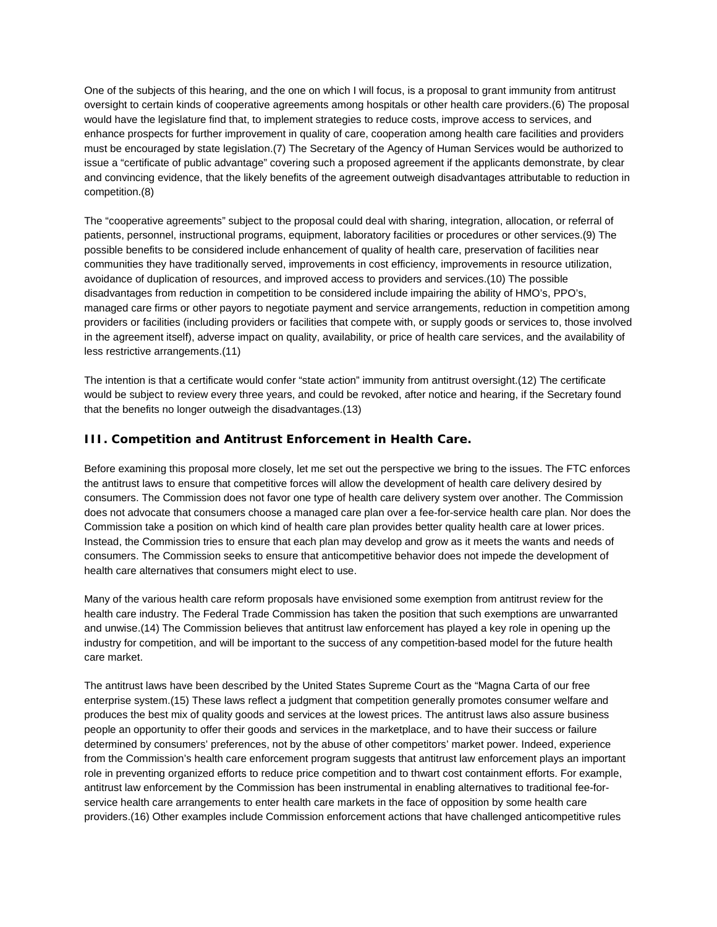One of the subjects of this hearing, and the one on which I will focus, is a proposal to grant immunity from antitrust oversight to certain kinds of cooperative agreements among hospitals or other health care providers.(6) The proposal would have the legislature find that, to implement strategies to reduce costs, improve access to services, and enhance prospects for further improvement in quality of care, cooperation among health care facilities and providers must be encouraged by state legislation.(7) The Secretary of the Agency of Human Services would be authorized to issue a "certificate of public advantage" covering such a proposed agreement if the applicants demonstrate, by clear and convincing evidence, that the likely benefits of the agreement outweigh disadvantages attributable to reduction in competition.(8)

The "cooperative agreements" subject to the proposal could deal with sharing, integration, allocation, or referral of patients, personnel, instructional programs, equipment, laboratory facilities or procedures or other services.(9) The possible benefits to be considered include enhancement of quality of health care, preservation of facilities near communities they have traditionally served, improvements in cost efficiency, improvements in resource utilization, avoidance of duplication of resources, and improved access to providers and services.(10) The possible disadvantages from reduction in competition to be considered include impairing the ability of HMO's, PPO's, managed care firms or other payors to negotiate payment and service arrangements, reduction in competition among providers or facilities (including providers or facilities that compete with, or supply goods or services to, those involved in the agreement itself), adverse impact on quality, availability, or price of health care services, and the availability of less restrictive arrangements.(11)

The intention is that a certificate would confer "state action" immunity from antitrust oversight.(12) The certificate would be subject to review every three years, and could be revoked, after notice and hearing, if the Secretary found that the benefits no longer outweigh the disadvantages.(13)

### **III. Competition and Antitrust Enforcement in Health Care.**

Before examining this proposal more closely, let me set out the perspective we bring to the issues. The FTC enforces the antitrust laws to ensure that competitive forces will allow the development of health care delivery desired by consumers. The Commission does not favor one type of health care delivery system over another. The Commission does not advocate that consumers choose a managed care plan over a fee-for-service health care plan. Nor does the Commission take a position on which kind of health care plan provides better quality health care at lower prices. Instead, the Commission tries to ensure that each plan may develop and grow as it meets the wants and needs of consumers. The Commission seeks to ensure that anticompetitive behavior does not impede the development of health care alternatives that consumers might elect to use.

Many of the various health care reform proposals have envisioned some exemption from antitrust review for the health care industry. The Federal Trade Commission has taken the position that such exemptions are unwarranted and unwise.(14) The Commission believes that antitrust law enforcement has played a key role in opening up the industry for competition, and will be important to the success of any competition-based model for the future health care market.

The antitrust laws have been described by the United States Supreme Court as the "Magna Carta of our free enterprise system.(15) These laws reflect a judgment that competition generally promotes consumer welfare and produces the best mix of quality goods and services at the lowest prices. The antitrust laws also assure business people an opportunity to offer their goods and services in the marketplace, and to have their success or failure determined by consumers' preferences, not by the abuse of other competitors' market power. Indeed, experience from the Commission's health care enforcement program suggests that antitrust law enforcement plays an important role in preventing organized efforts to reduce price competition and to thwart cost containment efforts. For example, antitrust law enforcement by the Commission has been instrumental in enabling alternatives to traditional fee-forservice health care arrangements to enter health care markets in the face of opposition by some health care providers.(16) Other examples include Commission enforcement actions that have challenged anticompetitive rules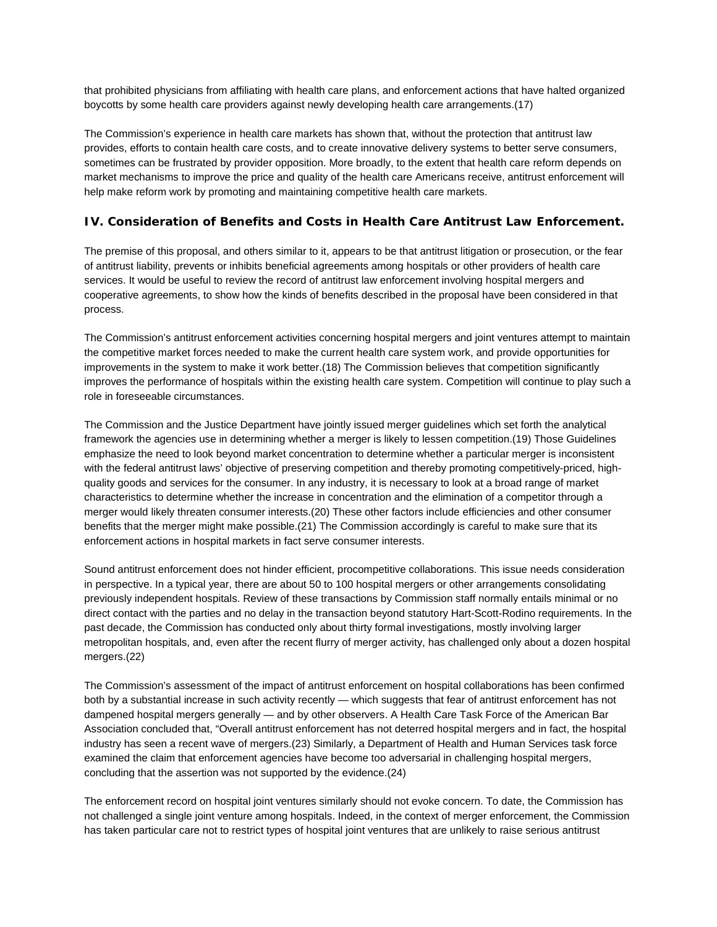that prohibited physicians from affiliating with health care plans, and enforcement actions that have halted organized boycotts by some health care providers against newly developing health care arrangements.(17)

The Commission's experience in health care markets has shown that, without the protection that antitrust law provides, efforts to contain health care costs, and to create innovative delivery systems to better serve consumers, sometimes can be frustrated by provider opposition. More broadly, to the extent that health care reform depends on market mechanisms to improve the price and quality of the health care Americans receive, antitrust enforcement will help make reform work by promoting and maintaining competitive health care markets.

## **IV. Consideration of Benefits and Costs in Health Care Antitrust Law Enforcement.**

The premise of this proposal, and others similar to it, appears to be that antitrust litigation or prosecution, or the fear of antitrust liability, prevents or inhibits beneficial agreements among hospitals or other providers of health care services. It would be useful to review the record of antitrust law enforcement involving hospital mergers and cooperative agreements, to show how the kinds of benefits described in the proposal have been considered in that process.

The Commission's antitrust enforcement activities concerning hospital mergers and joint ventures attempt to maintain the competitive market forces needed to make the current health care system work, and provide opportunities for improvements in the system to make it work better.(18) The Commission believes that competition significantly improves the performance of hospitals within the existing health care system. Competition will continue to play such a role in foreseeable circumstances.

The Commission and the Justice Department have jointly issued merger guidelines which set forth the analytical framework the agencies use in determining whether a merger is likely to lessen competition.(19) Those Guidelines emphasize the need to look beyond market concentration to determine whether a particular merger is inconsistent with the federal antitrust laws' objective of preserving competition and thereby promoting competitively-priced, highquality goods and services for the consumer. In any industry, it is necessary to look at a broad range of market characteristics to determine whether the increase in concentration and the elimination of a competitor through a merger would likely threaten consumer interests.(20) These other factors include efficiencies and other consumer benefits that the merger might make possible.(21) The Commission accordingly is careful to make sure that its enforcement actions in hospital markets in fact serve consumer interests.

Sound antitrust enforcement does not hinder efficient, procompetitive collaborations. This issue needs consideration in perspective. In a typical year, there are about 50 to 100 hospital mergers or other arrangements consolidating previously independent hospitals. Review of these transactions by Commission staff normally entails minimal or no direct contact with the parties and no delay in the transaction beyond statutory Hart-Scott-Rodino requirements. In the past decade, the Commission has conducted only about thirty formal investigations, mostly involving larger metropolitan hospitals, and, even after the recent flurry of merger activity, has challenged only about a dozen hospital mergers.(22)

The Commission's assessment of the impact of antitrust enforcement on hospital collaborations has been confirmed both by a substantial increase in such activity recently — which suggests that fear of antitrust enforcement has not dampened hospital mergers generally — and by other observers. A Health Care Task Force of the American Bar Association concluded that, "Overall antitrust enforcement has not deterred hospital mergers and in fact, the hospital industry has seen a recent wave of mergers.(23) Similarly, a Department of Health and Human Services task force examined the claim that enforcement agencies have become too adversarial in challenging hospital mergers, concluding that the assertion was not supported by the evidence.(24)

The enforcement record on hospital joint ventures similarly should not evoke concern. To date, the Commission has not challenged a single joint venture among hospitals. Indeed, in the context of merger enforcement, the Commission has taken particular care not to restrict types of hospital joint ventures that are unlikely to raise serious antitrust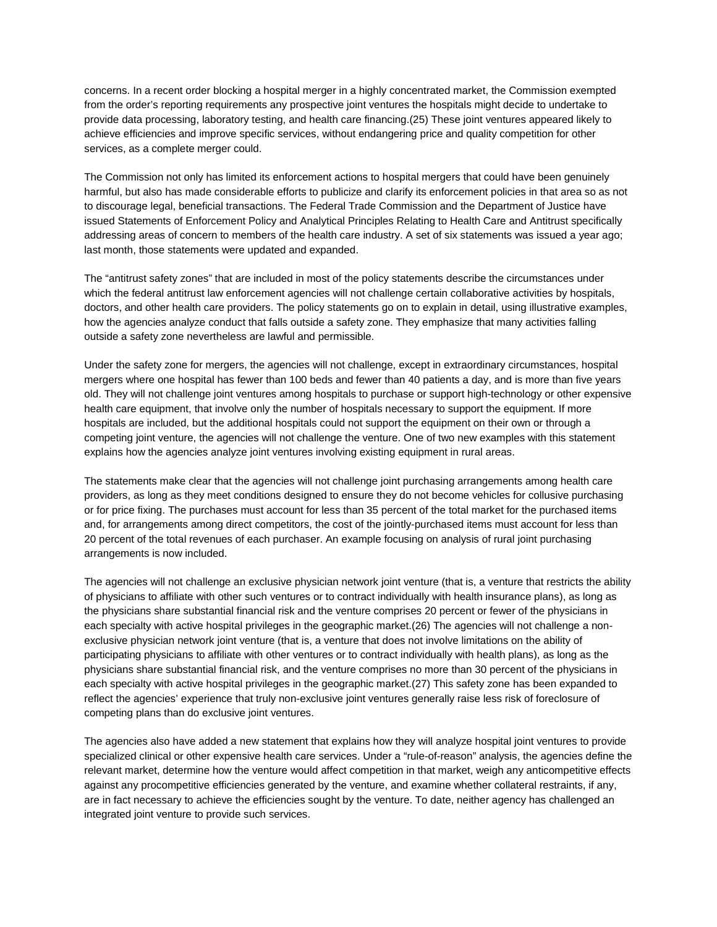concerns. In a recent order blocking a hospital merger in a highly concentrated market, the Commission exempted from the order's reporting requirements any prospective joint ventures the hospitals might decide to undertake to provide data processing, laboratory testing, and health care financing.(25) These joint ventures appeared likely to achieve efficiencies and improve specific services, without endangering price and quality competition for other services, as a complete merger could.

The Commission not only has limited its enforcement actions to hospital mergers that could have been genuinely harmful, but also has made considerable efforts to publicize and clarify its enforcement policies in that area so as not to discourage legal, beneficial transactions. The Federal Trade Commission and the Department of Justice have issued Statements of Enforcement Policy and Analytical Principles Relating to Health Care and Antitrust specifically addressing areas of concern to members of the health care industry. A set of six statements was issued a year ago; last month, those statements were updated and expanded.

The "antitrust safety zones" that are included in most of the policy statements describe the circumstances under which the federal antitrust law enforcement agencies will not challenge certain collaborative activities by hospitals, doctors, and other health care providers. The policy statements go on to explain in detail, using illustrative examples, how the agencies analyze conduct that falls outside a safety zone. They emphasize that many activities falling outside a safety zone nevertheless are lawful and permissible.

Under the safety zone for mergers, the agencies will not challenge, except in extraordinary circumstances, hospital mergers where one hospital has fewer than 100 beds and fewer than 40 patients a day, and is more than five years old. They will not challenge joint ventures among hospitals to purchase or support high-technology or other expensive health care equipment, that involve only the number of hospitals necessary to support the equipment. If more hospitals are included, but the additional hospitals could not support the equipment on their own or through a competing joint venture, the agencies will not challenge the venture. One of two new examples with this statement explains how the agencies analyze joint ventures involving existing equipment in rural areas.

The statements make clear that the agencies will not challenge joint purchasing arrangements among health care providers, as long as they meet conditions designed to ensure they do not become vehicles for collusive purchasing or for price fixing. The purchases must account for less than 35 percent of the total market for the purchased items and, for arrangements among direct competitors, the cost of the jointly-purchased items must account for less than 20 percent of the total revenues of each purchaser. An example focusing on analysis of rural joint purchasing arrangements is now included.

The agencies will not challenge an exclusive physician network joint venture (that is, a venture that restricts the ability of physicians to affiliate with other such ventures or to contract individually with health insurance plans), as long as the physicians share substantial financial risk and the venture comprises 20 percent or fewer of the physicians in each specialty with active hospital privileges in the geographic market.(26) The agencies will not challenge a nonexclusive physician network joint venture (that is, a venture that does not involve limitations on the ability of participating physicians to affiliate with other ventures or to contract individually with health plans), as long as the physicians share substantial financial risk, and the venture comprises no more than 30 percent of the physicians in each specialty with active hospital privileges in the geographic market.(27) This safety zone has been expanded to reflect the agencies' experience that truly non-exclusive joint ventures generally raise less risk of foreclosure of competing plans than do exclusive joint ventures.

The agencies also have added a new statement that explains how they will analyze hospital joint ventures to provide specialized clinical or other expensive health care services. Under a "rule-of-reason" analysis, the agencies define the relevant market, determine how the venture would affect competition in that market, weigh any anticompetitive effects against any procompetitive efficiencies generated by the venture, and examine whether collateral restraints, if any, are in fact necessary to achieve the efficiencies sought by the venture. To date, neither agency has challenged an integrated joint venture to provide such services.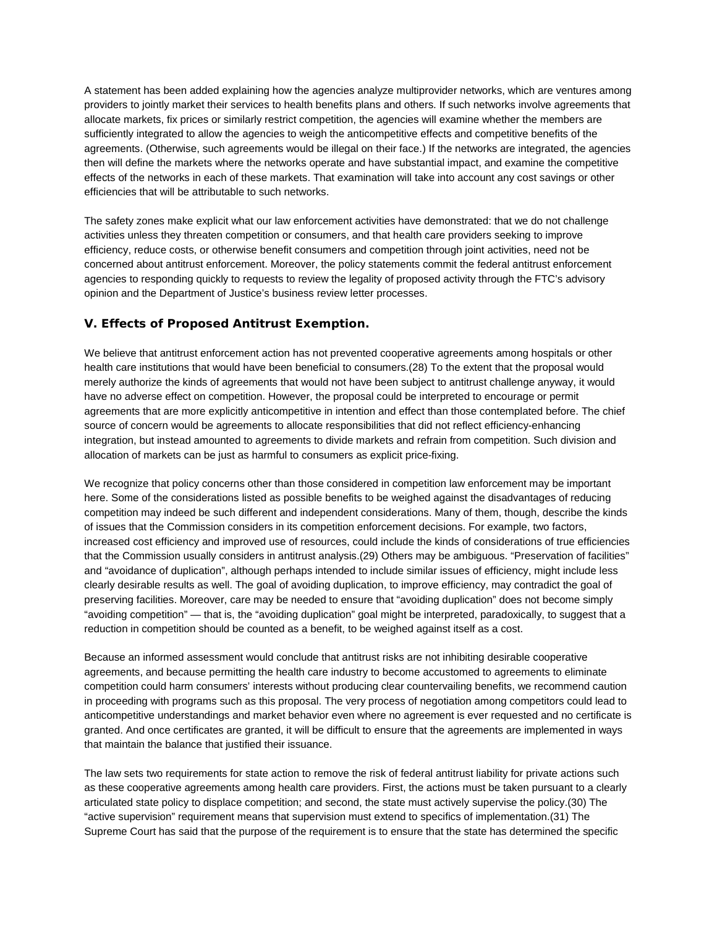A statement has been added explaining how the agencies analyze multiprovider networks, which are ventures among providers to jointly market their services to health benefits plans and others. If such networks involve agreements that allocate markets, fix prices or similarly restrict competition, the agencies will examine whether the members are sufficiently integrated to allow the agencies to weigh the anticompetitive effects and competitive benefits of the agreements. (Otherwise, such agreements would be illegal on their face.) If the networks are integrated, the agencies then will define the markets where the networks operate and have substantial impact, and examine the competitive effects of the networks in each of these markets. That examination will take into account any cost savings or other efficiencies that will be attributable to such networks.

The safety zones make explicit what our law enforcement activities have demonstrated: that we do not challenge activities unless they threaten competition or consumers, and that health care providers seeking to improve efficiency, reduce costs, or otherwise benefit consumers and competition through joint activities, need not be concerned about antitrust enforcement. Moreover, the policy statements commit the federal antitrust enforcement agencies to responding quickly to requests to review the legality of proposed activity through the FTC's advisory opinion and the Department of Justice's business review letter processes.

### **V. Effects of Proposed Antitrust Exemption.**

We believe that antitrust enforcement action has not prevented cooperative agreements among hospitals or other health care institutions that would have been beneficial to consumers.(28) To the extent that the proposal would merely authorize the kinds of agreements that would not have been subject to antitrust challenge anyway, it would have no adverse effect on competition. However, the proposal could be interpreted to encourage or permit agreements that are more explicitly anticompetitive in intention and effect than those contemplated before. The chief source of concern would be agreements to allocate responsibilities that did not reflect efficiency-enhancing integration, but instead amounted to agreements to divide markets and refrain from competition. Such division and allocation of markets can be just as harmful to consumers as explicit price-fixing.

We recognize that policy concerns other than those considered in competition law enforcement may be important here. Some of the considerations listed as possible benefits to be weighed against the disadvantages of reducing competition may indeed be such different and independent considerations. Many of them, though, describe the kinds of issues that the Commission considers in its competition enforcement decisions. For example, two factors, increased cost efficiency and improved use of resources, could include the kinds of considerations of true efficiencies that the Commission usually considers in antitrust analysis.(29) Others may be ambiguous. "Preservation of facilities" and "avoidance of duplication", although perhaps intended to include similar issues of efficiency, might include less clearly desirable results as well. The goal of avoiding duplication, to improve efficiency, may contradict the goal of preserving facilities. Moreover, care may be needed to ensure that "avoiding duplication" does not become simply "avoiding competition" — that is, the "avoiding duplication" goal might be interpreted, paradoxically, to suggest that a reduction in competition should be counted as a benefit, to be weighed against itself as a cost.

Because an informed assessment would conclude that antitrust risks are not inhibiting desirable cooperative agreements, and because permitting the health care industry to become accustomed to agreements to eliminate competition could harm consumers' interests without producing clear countervailing benefits, we recommend caution in proceeding with programs such as this proposal. The very process of negotiation among competitors could lead to anticompetitive understandings and market behavior even where no agreement is ever requested and no certificate is granted. And once certificates are granted, it will be difficult to ensure that the agreements are implemented in ways that maintain the balance that justified their issuance.

The law sets two requirements for state action to remove the risk of federal antitrust liability for private actions such as these cooperative agreements among health care providers. First, the actions must be taken pursuant to a clearly articulated state policy to displace competition; and second, the state must actively supervise the policy.(30) The "active supervision" requirement means that supervision must extend to specifics of implementation.(31) The Supreme Court has said that the purpose of the requirement is to ensure that the state has determined the specific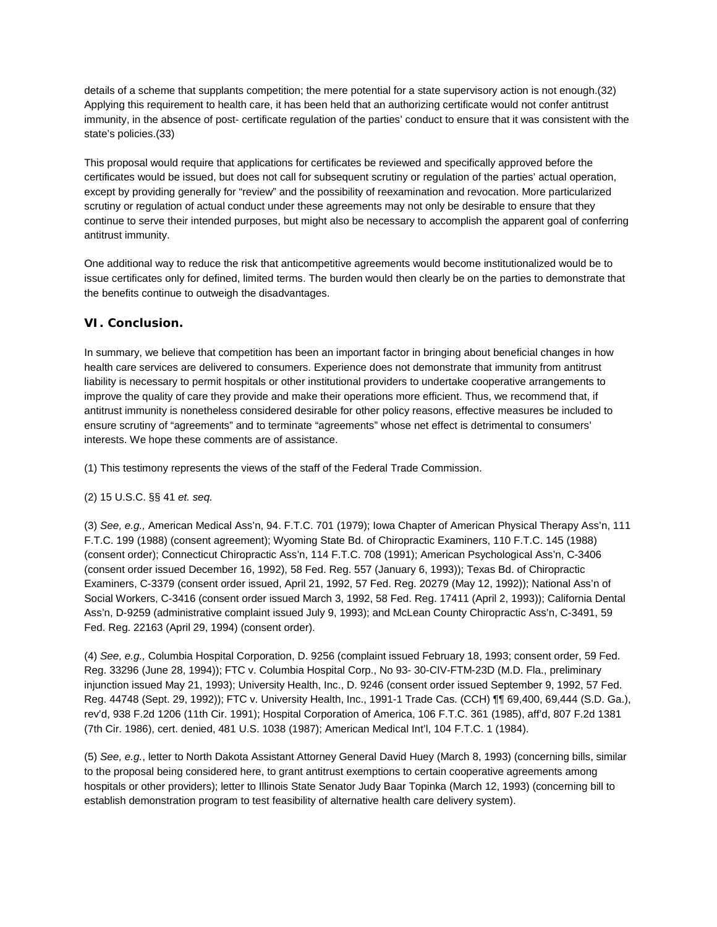details of a scheme that supplants competition; the mere potential for a state supervisory action is not enough.(32) Applying this requirement to health care, it has been held that an authorizing certificate would not confer antitrust immunity, in the absence of post- certificate regulation of the parties' conduct to ensure that it was consistent with the state's policies.(33)

This proposal would require that applications for certificates be reviewed and specifically approved before the certificates would be issued, but does not call for subsequent scrutiny or regulation of the parties' actual operation, except by providing generally for "review" and the possibility of reexamination and revocation. More particularized scrutiny or regulation of actual conduct under these agreements may not only be desirable to ensure that they continue to serve their intended purposes, but might also be necessary to accomplish the apparent goal of conferring antitrust immunity.

One additional way to reduce the risk that anticompetitive agreements would become institutionalized would be to issue certificates only for defined, limited terms. The burden would then clearly be on the parties to demonstrate that the benefits continue to outweigh the disadvantages.

### **VI. Conclusion.**

In summary, we believe that competition has been an important factor in bringing about beneficial changes in how health care services are delivered to consumers. Experience does not demonstrate that immunity from antitrust liability is necessary to permit hospitals or other institutional providers to undertake cooperative arrangements to improve the quality of care they provide and make their operations more efficient. Thus, we recommend that, if antitrust immunity is nonetheless considered desirable for other policy reasons, effective measures be included to ensure scrutiny of "agreements" and to terminate "agreements" whose net effect is detrimental to consumers' interests. We hope these comments are of assistance.

(1) This testimony represents the views of the staff of the Federal Trade Commission.

#### (2) 15 U.S.C. §§ 41 *et. seq.*

(3) *See, e.g.,* American Medical Ass'n, 94. F.T.C. 701 (1979); Iowa Chapter of American Physical Therapy Ass'n, 111 F.T.C. 199 (1988) (consent agreement); Wyoming State Bd. of Chiropractic Examiners, 110 F.T.C. 145 (1988) (consent order); Connecticut Chiropractic Ass'n, 114 F.T.C. 708 (1991); American Psychological Ass'n, C-3406 (consent order issued December 16, 1992), 58 Fed. Reg. 557 (January 6, 1993)); Texas Bd. of Chiropractic Examiners, C-3379 (consent order issued, April 21, 1992, 57 Fed. Reg. 20279 (May 12, 1992)); National Ass'n of Social Workers, C-3416 (consent order issued March 3, 1992, 58 Fed. Reg. 17411 (April 2, 1993)); California Dental Ass'n, D-9259 (administrative complaint issued July 9, 1993); and McLean County Chiropractic Ass'n, C-3491, 59 Fed. Reg. 22163 (April 29, 1994) (consent order).

(4) *See, e.g.,* Columbia Hospital Corporation, D. 9256 (complaint issued February 18, 1993; consent order, 59 Fed. Reg. 33296 (June 28, 1994)); FTC v. Columbia Hospital Corp., No 93- 30-CIV-FTM-23D (M.D. Fla., preliminary injunction issued May 21, 1993); University Health, Inc., D. 9246 (consent order issued September 9, 1992, 57 Fed. Reg. 44748 (Sept. 29, 1992)); FTC v. University Health, Inc., 1991-1 Trade Cas. (CCH) ¶¶ 69,400, 69,444 (S.D. Ga.), rev'd, 938 F.2d 1206 (11th Cir. 1991); Hospital Corporation of America, 106 F.T.C. 361 (1985), aff'd, 807 F.2d 1381 (7th Cir. 1986), cert. denied, 481 U.S. 1038 (1987); American Medical Int'l, 104 F.T.C. 1 (1984).

(5) *See, e.g.*, letter to North Dakota Assistant Attorney General David Huey (March 8, 1993) (concerning bills, similar to the proposal being considered here, to grant antitrust exemptions to certain cooperative agreements among hospitals or other providers); letter to Illinois State Senator Judy Baar Topinka (March 12, 1993) (concerning bill to establish demonstration program to test feasibility of alternative health care delivery system).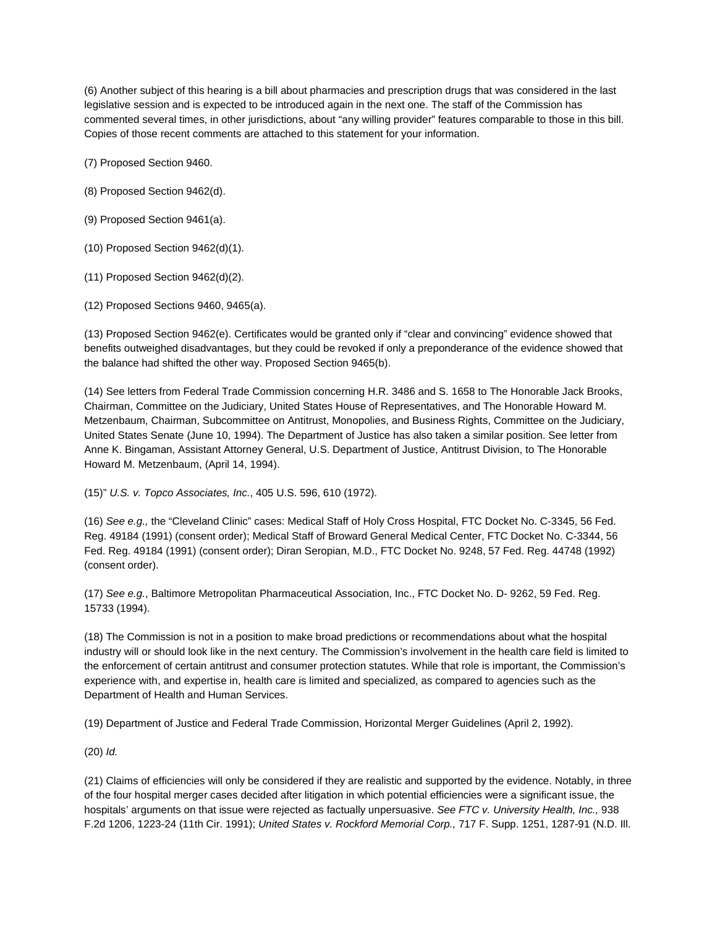(6) Another subject of this hearing is a bill about pharmacies and prescription drugs that was considered in the last legislative session and is expected to be introduced again in the next one. The staff of the Commission has commented several times, in other jurisdictions, about "any willing provider" features comparable to those in this bill. Copies of those recent comments are attached to this statement for your information.

(7) Proposed Section 9460.

(8) Proposed Section 9462(d).

(9) Proposed Section 9461(a).

(10) Proposed Section 9462(d)(1).

(11) Proposed Section 9462(d)(2).

(12) Proposed Sections 9460, 9465(a).

(13) Proposed Section 9462(e). Certificates would be granted only if "clear and convincing" evidence showed that benefits outweighed disadvantages, but they could be revoked if only a preponderance of the evidence showed that the balance had shifted the other way. Proposed Section 9465(b).

(14) See letters from Federal Trade Commission concerning H.R. 3486 and S. 1658 to The Honorable Jack Brooks, Chairman, Committee on the Judiciary, United States House of Representatives, and The Honorable Howard M. Metzenbaum, Chairman, Subcommittee on Antitrust, Monopolies, and Business Rights, Committee on the Judiciary, United States Senate (June 10, 1994). The Department of Justice has also taken a similar position. See letter from Anne K. Bingaman, Assistant Attorney General, U.S. Department of Justice, Antitrust Division, to The Honorable Howard M. Metzenbaum, (April 14, 1994).

(15)" *U.S. v. Topco Associates, Inc.*, 405 U.S. 596, 610 (1972).

(16) *See e.g.,* the "Cleveland Clinic" cases: Medical Staff of Holy Cross Hospital, FTC Docket No. C-3345, 56 Fed. Reg. 49184 (1991) (consent order); Medical Staff of Broward General Medical Center, FTC Docket No. C-3344, 56 Fed. Reg. 49184 (1991) (consent order); Diran Seropian, M.D., FTC Docket No. 9248, 57 Fed. Reg. 44748 (1992) (consent order).

(17) *See e.g.*, Baltimore Metropolitan Pharmaceutical Association, Inc., FTC Docket No. D- 9262, 59 Fed. Reg. 15733 (1994).

(18) The Commission is not in a position to make broad predictions or recommendations about what the hospital industry will or should look like in the next century. The Commission's involvement in the health care field is limited to the enforcement of certain antitrust and consumer protection statutes. While that role is important, the Commission's experience with, and expertise in, health care is limited and specialized, as compared to agencies such as the Department of Health and Human Services.

(19) Department of Justice and Federal Trade Commission, Horizontal Merger Guidelines (April 2, 1992).

(20) *Id.*

(21) Claims of efficiencies will only be considered if they are realistic and supported by the evidence. Notably, in three of the four hospital merger cases decided after litigation in which potential efficiencies were a significant issue, the hospitals' arguments on that issue were rejected as factually unpersuasive. *See FTC v. University Health, Inc.,* 938 F.2d 1206, 1223-24 (11th Cir. 1991); *United States v. Rockford Memorial Corp.,* 717 F. Supp. 1251, 1287-91 (N.D. Ill.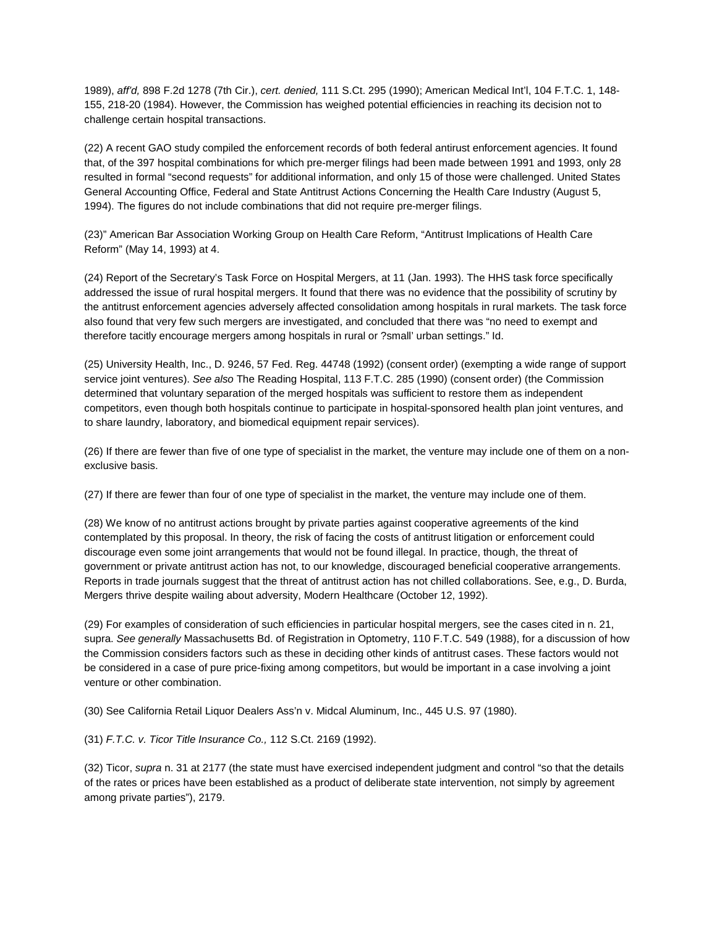1989), *aff'd,* 898 F.2d 1278 (7th Cir.), *cert. denied,* 111 S.Ct. 295 (1990); American Medical Int'l, 104 F.T.C. 1, 148- 155, 218-20 (1984). However, the Commission has weighed potential efficiencies in reaching its decision not to challenge certain hospital transactions.

(22) A recent GAO study compiled the enforcement records of both federal antirust enforcement agencies. It found that, of the 397 hospital combinations for which pre-merger filings had been made between 1991 and 1993, only 28 resulted in formal "second requests" for additional information, and only 15 of those were challenged. United States General Accounting Office, Federal and State Antitrust Actions Concerning the Health Care Industry (August 5, 1994). The figures do not include combinations that did not require pre-merger filings.

(23)" American Bar Association Working Group on Health Care Reform, "Antitrust Implications of Health Care Reform" (May 14, 1993) at 4.

(24) Report of the Secretary's Task Force on Hospital Mergers, at 11 (Jan. 1993). The HHS task force specifically addressed the issue of rural hospital mergers. It found that there was no evidence that the possibility of scrutiny by the antitrust enforcement agencies adversely affected consolidation among hospitals in rural markets. The task force also found that very few such mergers are investigated, and concluded that there was "no need to exempt and therefore tacitly encourage mergers among hospitals in rural or ?small' urban settings." Id.

(25) University Health, Inc., D. 9246, 57 Fed. Reg. 44748 (1992) (consent order) (exempting a wide range of support service joint ventures). *See also* The Reading Hospital, 113 F.T.C. 285 (1990) (consent order) (the Commission determined that voluntary separation of the merged hospitals was sufficient to restore them as independent competitors, even though both hospitals continue to participate in hospital-sponsored health plan joint ventures, and to share laundry, laboratory, and biomedical equipment repair services).

(26) If there are fewer than five of one type of specialist in the market, the venture may include one of them on a nonexclusive basis.

(27) If there are fewer than four of one type of specialist in the market, the venture may include one of them.

(28) We know of no antitrust actions brought by private parties against cooperative agreements of the kind contemplated by this proposal. In theory, the risk of facing the costs of antitrust litigation or enforcement could discourage even some joint arrangements that would not be found illegal. In practice, though, the threat of government or private antitrust action has not, to our knowledge, discouraged beneficial cooperative arrangements. Reports in trade journals suggest that the threat of antitrust action has not chilled collaborations. See, e.g., D. Burda, Mergers thrive despite wailing about adversity, Modern Healthcare (October 12, 1992).

(29) For examples of consideration of such efficiencies in particular hospital mergers, see the cases cited in n. 21, supra. *See generally* Massachusetts Bd. of Registration in Optometry, 110 F.T.C. 549 (1988), for a discussion of how the Commission considers factors such as these in deciding other kinds of antitrust cases. These factors would not be considered in a case of pure price-fixing among competitors, but would be important in a case involving a joint venture or other combination.

(30) See California Retail Liquor Dealers Ass'n v. Midcal Aluminum, Inc., 445 U.S. 97 (1980).

(31) *F.T.C. v. Ticor Title Insurance Co.,* 112 S.Ct. 2169 (1992).

(32) Ticor, *supra* n. 31 at 2177 (the state must have exercised independent judgment and control "so that the details of the rates or prices have been established as a product of deliberate state intervention, not simply by agreement among private parties"), 2179.